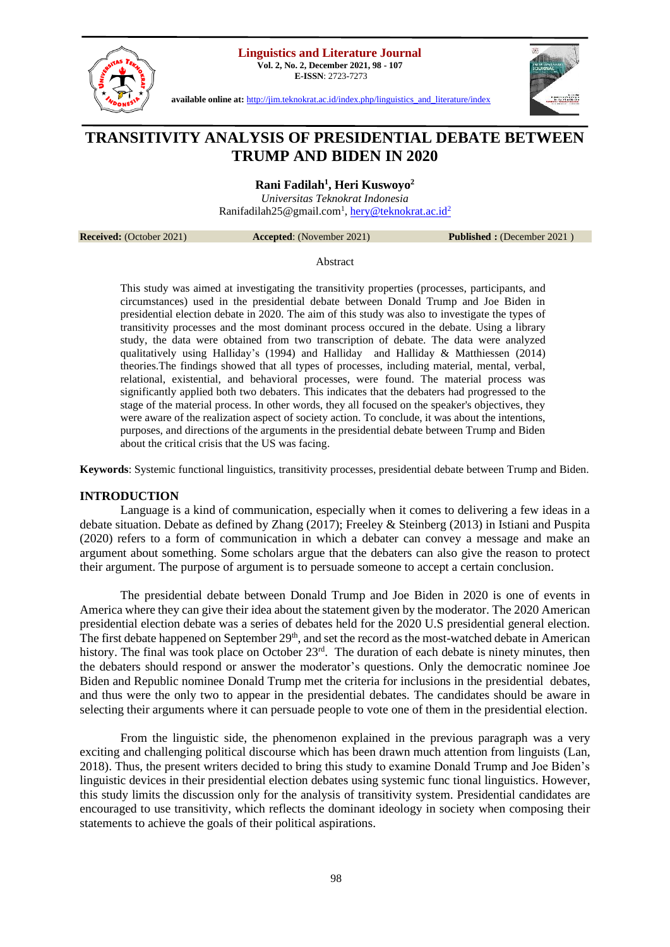**Linguistics and Literature Journal**

**Vol. 2, No. 2, December 2021, 98 - 107 E-ISSN**: 2723-7273



**available online at:** [http://jim.teknokrat.ac.id/index.php/linguistics\\_and\\_literature/index](http://jim.teknokrat.ac.id/index.php/linguistics_and_literature/index)



# **TRANSITIVITY ANALYSIS OF PRESIDENTIAL DEBATE BETWEEN TRUMP AND BIDEN IN 2020**

**Rani Fadilah<sup>1</sup> , Heri Kuswoyo<sup>2</sup>**

*Universitas Teknokrat Indonesia*  Ranifadilah25@gmail.com<sup>1</sup>, <u>hery@teknokrat.ac.id<sup>2</sup></u>

**Received:** (October 2021) **Accepted**: (November 2021) **Published :** (December 2021 )

Abstract

This study was aimed at investigating the transitivity properties (processes, participants, and circumstances) used in the presidential debate between Donald Trump and Joe Biden in presidential election debate in 2020. The aim of this study was also to investigate the types of transitivity processes and the most dominant process occured in the debate. Using a library study, the data were obtained from two transcription of debate. The data were analyzed qualitatively using Halliday's (1994) and Halliday and Halliday & Matthiessen (2014) theories.The findings showed that all types of processes, including material, mental, verbal, relational, existential, and behavioral processes, were found. The material process was significantly applied both two debaters. This indicates that the debaters had progressed to the stage of the material process. In other words, they all focused on the speaker's objectives, they were aware of the realization aspect of society action. To conclude, it was about the intentions, purposes, and directions of the arguments in the presidential debate between Trump and Biden about the critical crisis that the US was facing.

**Keywords**: Systemic functional linguistics, transitivity processes, presidential debate between Trump and Biden.

# **INTRODUCTION**

Language is a kind of communication, especially when it comes to delivering a few ideas in a debate situation. Debate as defined by Zhang (2017); Freeley & Steinberg (2013) in Istiani and Puspita (2020) refers to a form of communication in which a debater can convey a message and make an argument about something. Some scholars argue that the debaters can also give the reason to protect their argument. The purpose of argument is to persuade someone to accept a certain conclusion.

The presidential debate between Donald Trump and Joe Biden in 2020 is one of events in America where they can give their idea about the statement given by the moderator. The 2020 American presidential election debate was a series of debates held for the 2020 U.S presidential general election. The first debate happened on September  $29<sup>th</sup>$ , and set the record as the most-watched debate in American history. The final was took place on October 23<sup>rd</sup>. The duration of each debate is ninety minutes, then the debaters should respond or answer the moderator's questions. Only the democratic nominee Joe Biden and Republic nominee Donald Trump met the criteria for inclusions in the presidential debates, and thus were the only two to appear in the presidential debates. The candidates should be aware in selecting their arguments where it can persuade people to vote one of them in the presidential election.

From the linguistic side, the phenomenon explained in the previous paragraph was a very exciting and challenging political discourse which has been drawn much attention from linguists (Lan, 2018). Thus, the present writers decided to bring this study to examine Donald Trump and Joe Biden's linguistic devices in their presidential election debates using systemic func tional linguistics. However, this study limits the discussion only for the analysis of transitivity system. Presidential candidates are encouraged to use transitivity, which reflects the dominant ideology in society when composing their statements to achieve the goals of their political aspirations.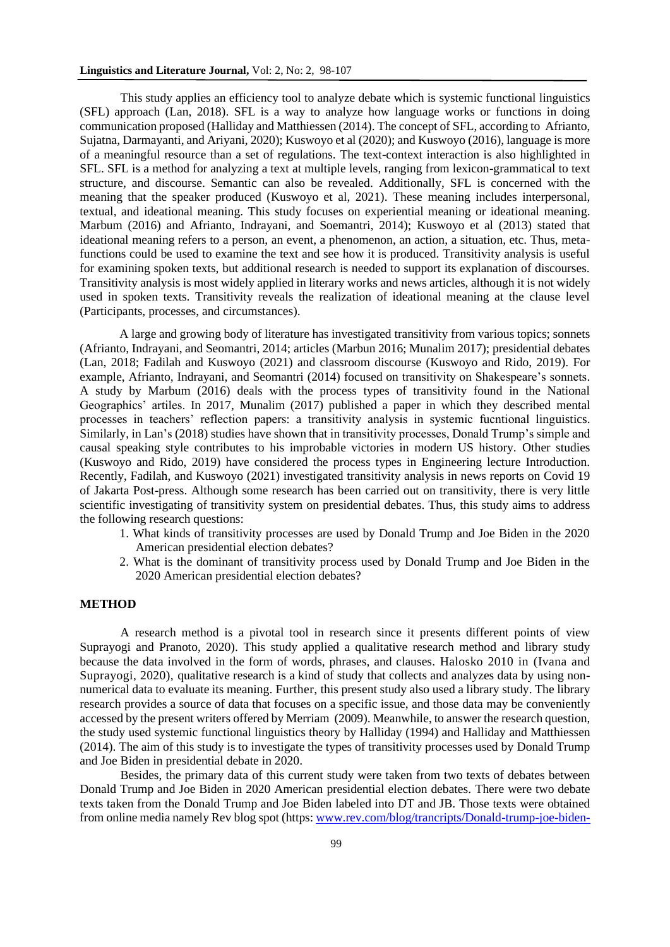This study applies an efficiency tool to analyze debate which is systemic functional linguistics (SFL) approach (Lan, 2018). SFL is a way to analyze how language works or functions in doing communication proposed (Halliday and Matthiessen (2014). The concept of SFL, according to Afrianto, Sujatna, Darmayanti, and Ariyani, 2020); Kuswoyo et al (2020); and Kuswoyo (2016), language is more of a meaningful resource than a set of regulations. The text-context interaction is also highlighted in SFL. SFL is a method for analyzing a text at multiple levels, ranging from lexicon-grammatical to text structure, and discourse. Semantic can also be revealed. Additionally, SFL is concerned with the meaning that the speaker produced (Kuswoyo et al, 2021). These meaning includes interpersonal, textual, and ideational meaning. This study focuses on experiential meaning or ideational meaning. Marbum (2016) and Afrianto, Indrayani, and Soemantri, 2014); Kuswoyo et al (2013) stated that ideational meaning refers to a person, an event, a phenomenon, an action, a situation, etc. Thus, metafunctions could be used to examine the text and see how it is produced. Transitivity analysis is useful for examining spoken texts, but additional research is needed to support its explanation of discourses. Transitivity analysis is most widely applied in literary works and news articles, although it is not widely used in spoken texts. Transitivity reveals the realization of ideational meaning at the clause level (Participants, processes, and circumstances).

A large and growing body of literature has investigated transitivity from various topics; sonnets (Afrianto, Indrayani, and Seomantri, 2014; articles (Marbun 2016; Munalim 2017); presidential debates (Lan, 2018; Fadilah and Kuswoyo (2021) and classroom discourse (Kuswoyo and Rido, 2019). For example, Afrianto, Indrayani, and Seomantri (2014) focused on transitivity on Shakespeare's sonnets. A study by Marbum (2016) deals with the process types of transitivity found in the National Geographics' artiles. In 2017, Munalim (2017) published a paper in which they described mental processes in teachers' reflection papers: a transitivity analysis in systemic fucntional linguistics. Similarly, in Lan's (2018) studies have shown that in transitivity processes, Donald Trump's simple and causal speaking style contributes to his improbable victories in modern US history. Other studies (Kuswoyo and Rido, 2019) have considered the process types in Engineering lecture Introduction. Recently, Fadilah, and Kuswoyo (2021) investigated transitivity analysis in news reports on Covid 19 of Jakarta Post-press. Although some research has been carried out on transitivity, there is very little scientific investigating of transitivity system on presidential debates. Thus, this study aims to address the following research questions:

- 1. What kinds of transitivity processes are used by Donald Trump and Joe Biden in the 2020 American presidential election debates?
- 2. What is the dominant of transitivity process used by Donald Trump and Joe Biden in the 2020 American presidential election debates?

#### **METHOD**

A research method is a pivotal tool in research since it presents different points of view Suprayogi and Pranoto, 2020). This study applied a qualitative research method and library study because the data involved in the form of words, phrases, and clauses. Halosko 2010 in (Ivana and Suprayogi, 2020), qualitative research is a kind of study that collects and analyzes data by using nonnumerical data to evaluate its meaning. Further, this present study also used a library study. The library research provides a source of data that focuses on a specific issue, and those data may be conveniently accessed by the present writers offered by Merriam (2009). Meanwhile, to answer the research question, the study used systemic functional linguistics theory by Halliday (1994) and Halliday and Matthiessen (2014). The aim of this study is to investigate the types of transitivity processes used by Donald Trump and Joe Biden in presidential debate in 2020.

Besides, the primary data of this current study were taken from two texts of debates between Donald Trump and Joe Biden in 2020 American presidential election debates. There were two debate texts taken from the Donald Trump and Joe Biden labeled into DT and JB. Those texts were obtained from online media namely Rev blog spot (https[: www.rev.com/blog/trancripts/Donald-trump-joe-biden-](http://www.rev.com/blog/trancripts/Donald-trump-joe-biden-1st-presidential-debate-transript-2020)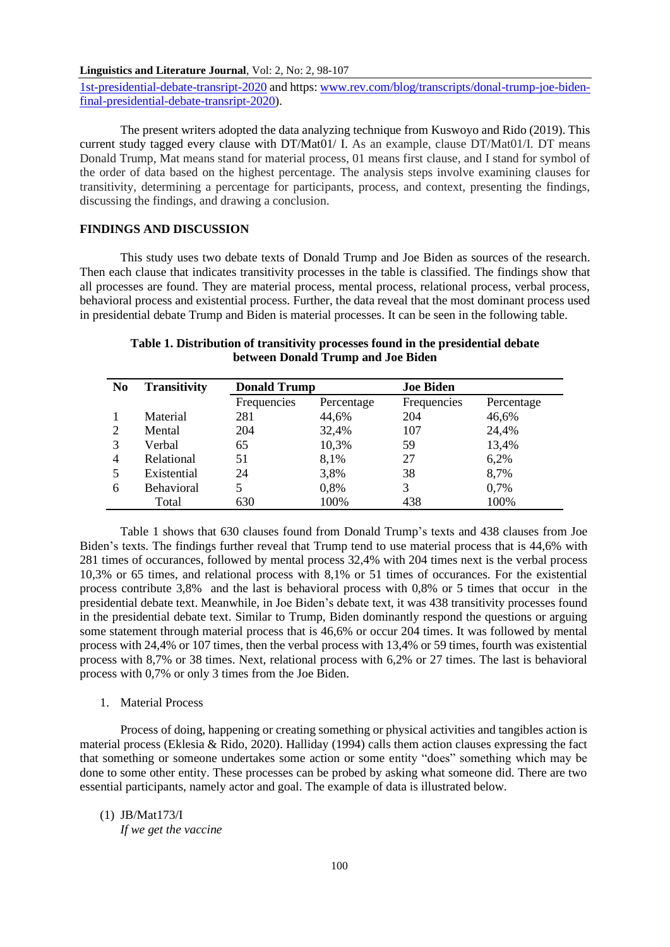[1st-presidential-debate-transript-2020](http://www.rev.com/blog/trancripts/Donald-trump-joe-biden-1st-presidential-debate-transript-2020) and https[: www.rev.com/blog/transcripts/donal-trump-joe-biden](http://www.rev.com/blog/transcripts/donal-trump-joe-biden-final-presidential-debate-transript-2020)[final-presidential-debate-transript-2020\)](http://www.rev.com/blog/transcripts/donal-trump-joe-biden-final-presidential-debate-transript-2020).

The present writers adopted the data analyzing technique from Kuswoyo and Rido (2019). This current study tagged every clause with DT/Mat01/ I. As an example, clause DT/Mat01/I. DT means Donald Trump, Mat means stand for material process, 01 means first clause, and I stand for symbol of the order of data based on the highest percentage. The analysis steps involve examining clauses for transitivity, determining a percentage for participants, process, and context, presenting the findings, discussing the findings, and drawing a conclusion.

# **FINDINGS AND DISCUSSION**

This study uses two debate texts of Donald Trump and Joe Biden as sources of the research. Then each clause that indicates transitivity processes in the table is classified. The findings show that all processes are found. They are material process, mental process, relational process, verbal process, behavioral process and existential process. Further, the data reveal that the most dominant process used in presidential debate Trump and Biden is material processes. It can be seen in the following table.

| N <sub>0</sub> | <b>Transitivity</b> | <b>Donald Trump</b> |            | <b>Joe Biden</b> |            |
|----------------|---------------------|---------------------|------------|------------------|------------|
|                |                     | Frequencies         | Percentage | Frequencies      | Percentage |
|                | Material            | 281                 | 44,6%      | 204              | 46,6%      |
|                | Mental              | 204                 | 32,4%      | 107              | 24,4%      |
| 3              | Verbal              | 65                  | 10,3%      | 59               | 13,4%      |
| $\overline{4}$ | Relational          | 51                  | 8,1%       | 27               | 6,2%       |
| 5              | Existential         | 24                  | 3,8%       | 38               | 8,7%       |
| 6              | <b>Behavioral</b>   |                     | 0,8%       | 3                | 0,7%       |
|                | Total               | 630                 | 100%       | 438              | 100%       |

# **Table 1. Distribution of transitivity processes found in the presidential debate between Donald Trump and Joe Biden**

Table 1 shows that 630 clauses found from Donald Trump's texts and 438 clauses from Joe Biden's texts. The findings further reveal that Trump tend to use material process that is 44,6% with 281 times of occurances, followed by mental process 32,4% with 204 times next is the verbal process 10,3% or 65 times, and relational process with 8,1% or 51 times of occurances. For the existential process contribute 3,8% and the last is behavioral process with 0,8% or 5 times that occur in the presidential debate text. Meanwhile, in Joe Biden's debate text, it was 438 transitivity processes found in the presidential debate text. Similar to Trump, Biden dominantly respond the questions or arguing some statement through material process that is 46,6% or occur 204 times. It was followed by mental process with 24,4% or 107 times, then the verbal process with 13,4% or 59 times, fourth was existential process with 8,7% or 38 times. Next, relational process with 6,2% or 27 times. The last is behavioral process with 0,7% or only 3 times from the Joe Biden.

#### 1. Material Process

Process of doing, happening or creating something or physical activities and tangibles action is material process (Eklesia & Rido, 2020). Halliday (1994) calls them action clauses expressing the fact that something or someone undertakes some action or some entity "does" something which may be done to some other entity. These processes can be probed by asking what someone did. There are two essential participants, namely actor and goal. The example of data is illustrated below.

#### (1) JB/Mat173/I

*If we get the vaccine*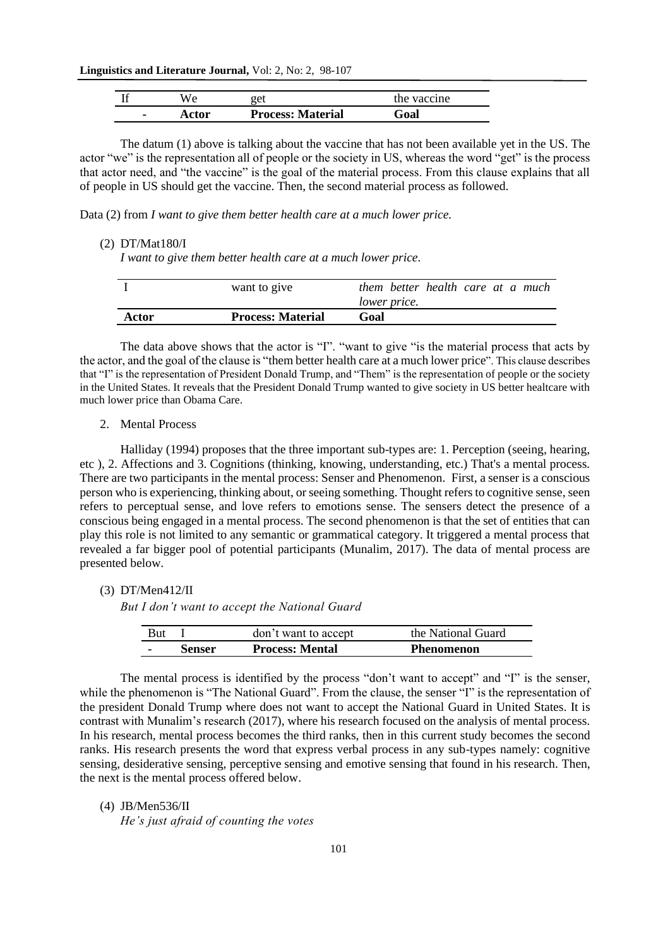| A/ آ | get                      | the vaccine |
|------|--------------------------|-------------|
| ctor | <b>Process: Material</b> | Goal        |

The datum (1) above is talking about the vaccine that has not been available yet in the US. The actor "we" is the representation all of people or the society in US, whereas the word "get" is the process that actor need, and "the vaccine" is the goal of the material process. From this clause explains that all of people in US should get the vaccine. Then, the second material process as followed.

Data (2) from *I want to give them better health care at a much lower price.*

#### (2) DT/Mat180/I

*I want to give them better health care at a much lower price.*

|       | want to give             | them better health care at a much<br><i>lower price.</i> |
|-------|--------------------------|----------------------------------------------------------|
| Actor | <b>Process: Material</b> | Goal                                                     |

The data above shows that the actor is "I". "want to give "is the material process that acts by the actor, and the goal of the clause is "them better health care at a much lower price". This clause describes that "I" is the representation of President Donald Trump, and "Them" is the representation of people or the society in the United States. It reveals that the President Donald Trump wanted to give society in US better healtcare with much lower price than Obama Care.

2. Mental Process

Halliday (1994) proposes that the three important sub-types are: 1. Perception (seeing, hearing, etc ), 2. Affections and 3. Cognitions (thinking, knowing, understanding, etc.) That's a mental process. There are two participants in the mental process: Senser and Phenomenon. First, a senser is a conscious person who is experiencing, thinking about, or seeing something. Thought refers to cognitive sense, seen refers to perceptual sense, and love refers to emotions sense. The sensers detect the presence of a conscious being engaged in a mental process. The second phenomenon is that the set of entities that can play this role is not limited to any semantic or grammatical category. It triggered a mental process that revealed a far bigger pool of potential participants (Munalim, 2017). The data of mental process are presented below.

(3) DT/Men412/II

*But I don't want to accept the National Guard*

| <b>But</b> |        | don't want to accept   | the National Guard |
|------------|--------|------------------------|--------------------|
|            | Senser | <b>Process: Mental</b> | <b>Phenomenon</b>  |

The mental process is identified by the process "don't want to accept" and "I" is the senser, while the phenomenon is "The National Guard". From the clause, the senser "I" is the representation of the president Donald Trump where does not want to accept the National Guard in United States. It is contrast with Munalim's research (2017), where his research focused on the analysis of mental process. In his research, mental process becomes the third ranks, then in this current study becomes the second ranks. His research presents the word that express verbal process in any sub-types namely: cognitive sensing, desiderative sensing, perceptive sensing and emotive sensing that found in his research. Then, the next is the mental process offered below.

## (4) JB/Men536/II

*He's just afraid of counting the votes*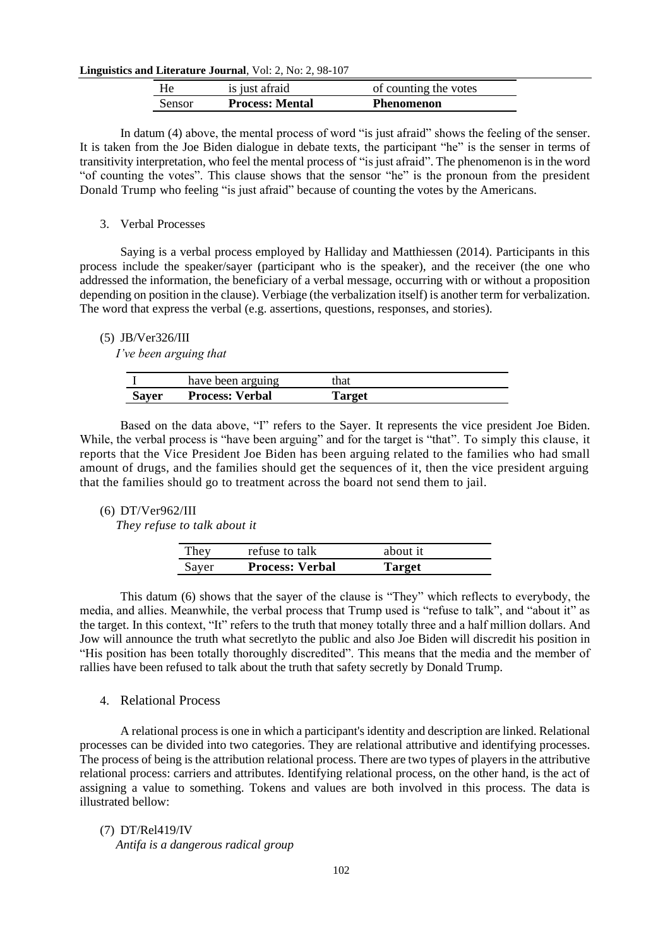| He            | is just afraid         | of counting the votes |
|---------------|------------------------|-----------------------|
| <b>Sensor</b> | <b>Process: Mental</b> | Phenomenon            |

In datum (4) above, the mental process of word "is just afraid" shows the feeling of the senser. It is taken from the Joe Biden dialogue in debate texts, the participant "he" is the senser in terms of transitivity interpretation, who feel the mental process of "is just afraid". The phenomenon is in the word "of counting the votes". This clause shows that the sensor "he" is the pronoun from the president Donald Trump who feeling "is just afraid" because of counting the votes by the Americans.

## 3. Verbal Processes

Saying is a verbal process employed by Halliday and Matthiessen (2014). Participants in this process include the speaker/sayer (participant who is the speaker), and the receiver (the one who addressed the information, the beneficiary of a verbal message, occurring with or without a proposition depending on position in the clause). Verbiage (the verbalization itself) is another term for verbalization. The word that express the verbal (e.g. assertions, questions, responses, and stories).

## (5) JB/Ver326/III

*I've been arguing that*

|       | have been arguing      | that   |  |
|-------|------------------------|--------|--|
| Sayer | <b>Process: Verbal</b> | Target |  |

Based on the data above, "I" refers to the Sayer. It represents the vice president Joe Biden. While, the verbal process is "have been arguing" and for the target is "that". To simply this clause, it reports that the Vice President Joe Biden has been arguing related to the families who had small amount of drugs, and the families should get the sequences of it, then the vice president arguing that the families should go to treatment across the board not send them to jail.

## (6) DT/Ver962/III

*They refuse to talk about it*

| They  | refuse to talk         | about it |
|-------|------------------------|----------|
| Sayer | <b>Process: Verbal</b> | Target   |

This datum (6) shows that the sayer of the clause is "They" which reflects to everybody, the media, and allies. Meanwhile, the verbal process that Trump used is "refuse to talk", and "about it" as the target. In this context, "It" refers to the truth that money totally three and a half million dollars. And Jow will announce the truth what secretlyto the public and also Joe Biden will discredit his position in "His position has been totally thoroughly discredited". This means that the media and the member of rallies have been refused to talk about the truth that safety secretly by Donald Trump.

# 4. Relational Process

A relational process is one in which a participant's identity and description are linked. Relational processes can be divided into two categories. They are relational attributive and identifying processes. The process of being is the attribution relational process. There are two types of players in the attributive relational process: carriers and attributes. Identifying relational process, on the other hand, is the act of assigning a value to something. Tokens and values are both involved in this process. The data is illustrated bellow:

# (7) DT/Rel419/IV *Antifa is a dangerous radical group*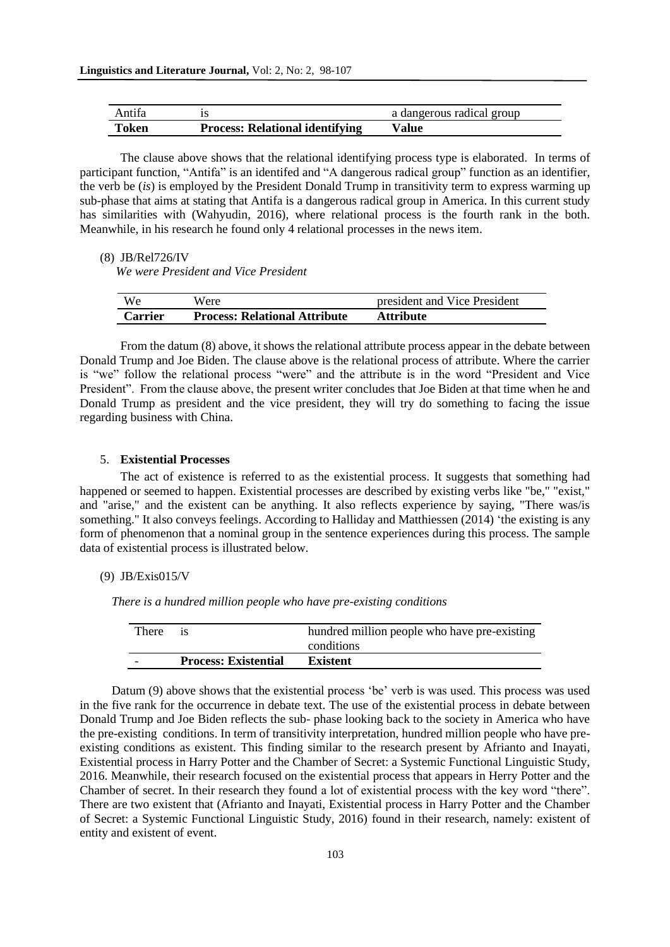| Antifa |                                        | a dangerous radical group |
|--------|----------------------------------------|---------------------------|
| Token  | <b>Process: Relational identifying</b> | Value                     |

The clause above shows that the relational identifying process type is elaborated. In terms of participant function, "Antifa" is an identifed and "A dangerous radical group" function as an identifier, the verb be (*is*) is employed by the President Donald Trump in transitivity term to express warming up sub-phase that aims at stating that Antifa is a dangerous radical group in America. In this current study has similarities with (Wahyudin, 2016), where relational process is the fourth rank in the both. Meanwhile, in his research he found only 4 relational processes in the news item.

(8) JB/Rel726/IV

*We were President and Vice President*

| We             | Were                                 | president and Vice President |
|----------------|--------------------------------------|------------------------------|
| <b>Carrier</b> | <b>Process: Relational Attribute</b> | Attribute                    |

From the datum (8) above, it shows the relational attribute process appear in the debate between Donald Trump and Joe Biden. The clause above is the relational process of attribute. Where the carrier is "we" follow the relational process "were" and the attribute is in the word "President and Vice President". From the clause above, the present writer concludes that Joe Biden at that time when he and Donald Trump as president and the vice president, they will try do something to facing the issue regarding business with China.

# 5. **Existential Processes**

The act of existence is referred to as the existential process. It suggests that something had happened or seemed to happen. Existential processes are described by existing verbs like "be," "exist," and "arise," and the existent can be anything. It also reflects experience by saying, "There was/is something." It also conveys feelings. According to Halliday and Matthiessen (2014) 'the existing is any form of phenomenon that a nominal group in the sentence experiences during this process. The sample data of existential process is illustrated below.

#### (9) JB/Exis015/V

*There is a hundred million people who have pre-existing conditions*

| There |                             | hundred million people who have pre-existing<br>conditions |
|-------|-----------------------------|------------------------------------------------------------|
|       | <b>Process: Existential</b> | <b>Existent</b>                                            |

Datum (9) above shows that the existential process 'be' verb is was used. This process was used in the five rank for the occurrence in debate text. The use of the existential process in debate between Donald Trump and Joe Biden reflects the sub- phase looking back to the society in America who have the pre-existing conditions. In term of transitivity interpretation, hundred million people who have preexisting conditions as existent. This finding similar to the research present by Afrianto and Inayati, Existential process in Harry Potter and the Chamber of Secret: a Systemic Functional Linguistic Study, 2016. Meanwhile, their research focused on the existential process that appears in Herry Potter and the Chamber of secret. In their research they found a lot of existential process with the key word "there". There are two existent that (Afrianto and Inayati, Existential process in Harry Potter and the Chamber of Secret: a Systemic Functional Linguistic Study, 2016) found in their research, namely: existent of entity and existent of event.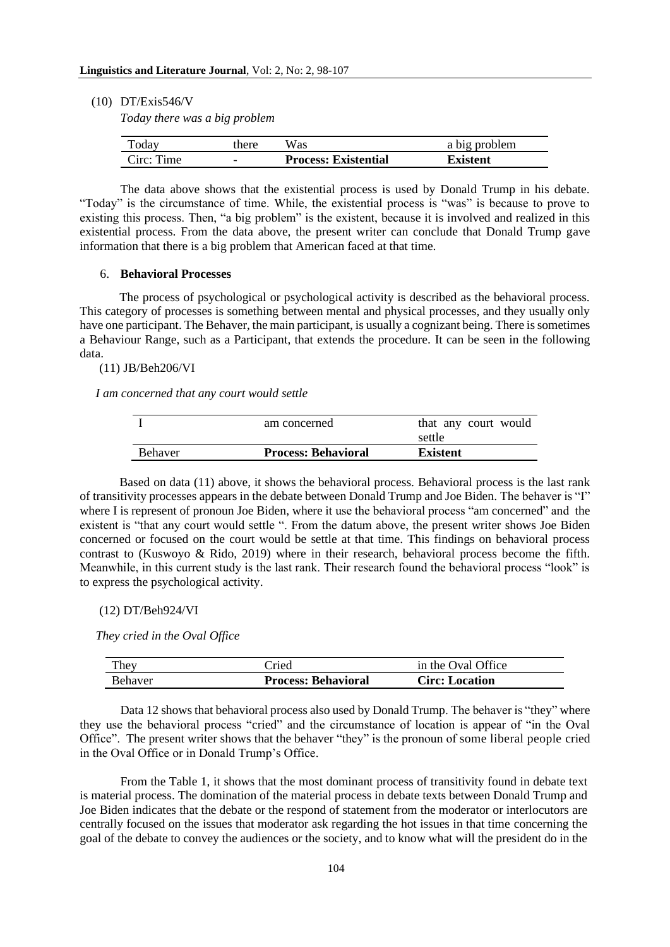(10) DT/Exis546/V

*Today there was a big problem*

| <b>Today</b> | there | Was                         | a big problem |
|--------------|-------|-----------------------------|---------------|
| Circ: Time   |       | <b>Process: Existential</b> | Existent      |

The data above shows that the existential process is used by Donald Trump in his debate. "Today" is the circumstance of time. While, the existential process is "was" is because to prove to existing this process. Then, "a big problem" is the existent, because it is involved and realized in this existential process. From the data above, the present writer can conclude that Donald Trump gave information that there is a big problem that American faced at that time.

## 6. **Behavioral Processes**

The process of psychological or psychological activity is described as the behavioral process. This category of processes is something between mental and physical processes, and they usually only have one participant. The Behaver, the main participant, is usually a cognizant being. There is sometimes a Behaviour Range, such as a Participant, that extends the procedure. It can be seen in the following data.

(11) JB/Beh206/VI

*I am concerned that any court would settle* 

| Behaver | <b>Process: Behavioral</b> | <b>Existent</b>      |
|---------|----------------------------|----------------------|
|         |                            | settle               |
|         | am concerned               | that any court would |

Based on data (11) above, it shows the behavioral process. Behavioral process is the last rank of transitivity processes appears in the debate between Donald Trump and Joe Biden. The behaver is "I" where I is represent of pronoun Joe Biden, where it use the behavioral process "am concerned" and the existent is "that any court would settle ". From the datum above, the present writer shows Joe Biden concerned or focused on the court would be settle at that time. This findings on behavioral process contrast to (Kuswoyo & Rido, 2019) where in their research, behavioral process become the fifth. Meanwhile, in this current study is the last rank. Their research found the behavioral process "look" is to express the psychological activity.

## (12) DT/Beh924/VI

*They cried in the Oval Office*

| <b>Behaver</b> | <b>Process: Behavioral</b> | <b>Circ: Location</b> |  |
|----------------|----------------------------|-----------------------|--|
| They           | `ried                      | in the Oval Office    |  |

Data 12 shows that behavioral process also used by Donald Trump. The behaver is "they" where they use the behavioral process "cried" and the circumstance of location is appear of "in the Oval Office". The present writer shows that the behaver "they" is the pronoun of some liberal people cried in the Oval Office or in Donald Trump's Office.

From the Table 1, it shows that the most dominant process of transitivity found in debate text is material process. The domination of the material process in debate texts between Donald Trump and Joe Biden indicates that the debate or the respond of statement from the moderator or interlocutors are centrally focused on the issues that moderator ask regarding the hot issues in that time concerning the goal of the debate to convey the audiences or the society, and to know what will the president do in the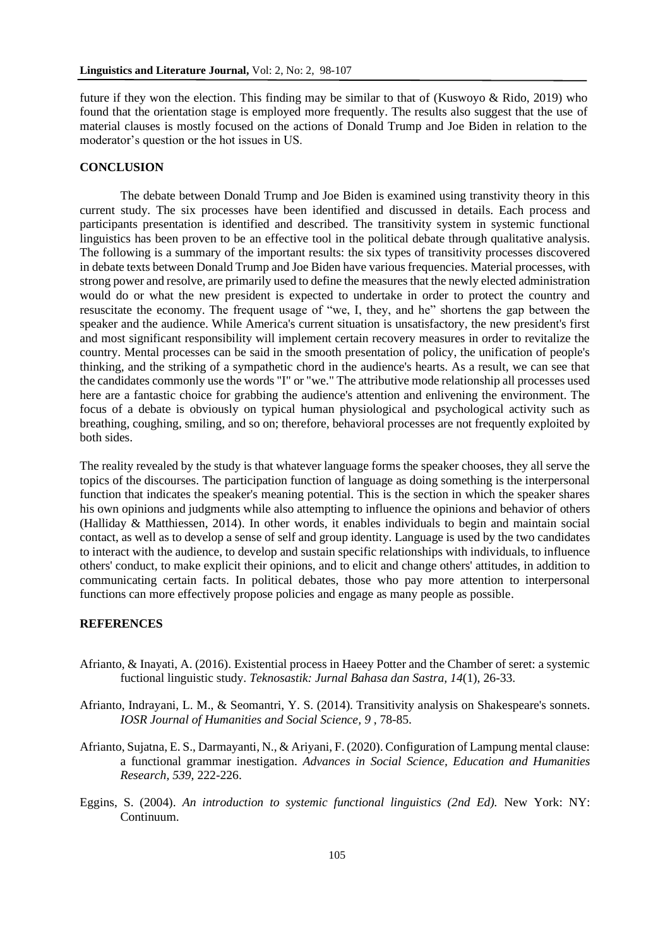future if they won the election. This finding may be similar to that of (Kuswoyo  $\&$  Rido, 2019) who found that the orientation stage is employed more frequently. The results also suggest that the use of material clauses is mostly focused on the actions of Donald Trump and Joe Biden in relation to the moderator's question or the hot issues in US.

# **CONCLUSION**

The debate between Donald Trump and Joe Biden is examined using transtivity theory in this current study. The six processes have been identified and discussed in details. Each process and participants presentation is identified and described. The transitivity system in systemic functional linguistics has been proven to be an effective tool in the political debate through qualitative analysis. The following is a summary of the important results: the six types of transitivity processes discovered in debate texts between Donald Trump and Joe Biden have various frequencies. Material processes, with strong power and resolve, are primarily used to define the measures that the newly elected administration would do or what the new president is expected to undertake in order to protect the country and resuscitate the economy. The frequent usage of "we, I, they, and he" shortens the gap between the speaker and the audience. While America's current situation is unsatisfactory, the new president's first and most significant responsibility will implement certain recovery measures in order to revitalize the country. Mental processes can be said in the smooth presentation of policy, the unification of people's thinking, and the striking of a sympathetic chord in the audience's hearts. As a result, we can see that the candidates commonly use the words "I" or "we." The attributive mode relationship all processes used here are a fantastic choice for grabbing the audience's attention and enlivening the environment. The focus of a debate is obviously on typical human physiological and psychological activity such as breathing, coughing, smiling, and so on; therefore, behavioral processes are not frequently exploited by both sides.

The reality revealed by the study is that whatever language forms the speaker chooses, they all serve the topics of the discourses. The participation function of language as doing something is the interpersonal function that indicates the speaker's meaning potential. This is the section in which the speaker shares his own opinions and judgments while also attempting to influence the opinions and behavior of others (Halliday & Matthiessen, 2014). In other words, it enables individuals to begin and maintain social contact, as well as to develop a sense of self and group identity. Language is used by the two candidates to interact with the audience, to develop and sustain specific relationships with individuals, to influence others' conduct, to make explicit their opinions, and to elicit and change others' attitudes, in addition to communicating certain facts. In political debates, those who pay more attention to interpersonal functions can more effectively propose policies and engage as many people as possible.

#### **REFERENCES**

- Afrianto, & Inayati, A. (2016). Existential process in Haeey Potter and the Chamber of seret: a systemic fuctional linguistic study. *Teknosastik: Jurnal Bahasa dan Sastra, 14*(1), 26-33.
- Afrianto, Indrayani, L. M., & Seomantri, Y. S. (2014). Transitivity analysis on Shakespeare's sonnets. *IOSR Journal of Humanities and Social Science, 9* , 78-85.
- Afrianto, Sujatna, E. S., Darmayanti, N., & Ariyani, F. (2020). Configuration of Lampung mental clause: a functional grammar inestigation. *Advances in Social Science, Education and Humanities Research, 539*, 222-226.
- Eggins, S. (2004). *An introduction to systemic functional linguistics (2nd Ed).* New York: NY: Continuum.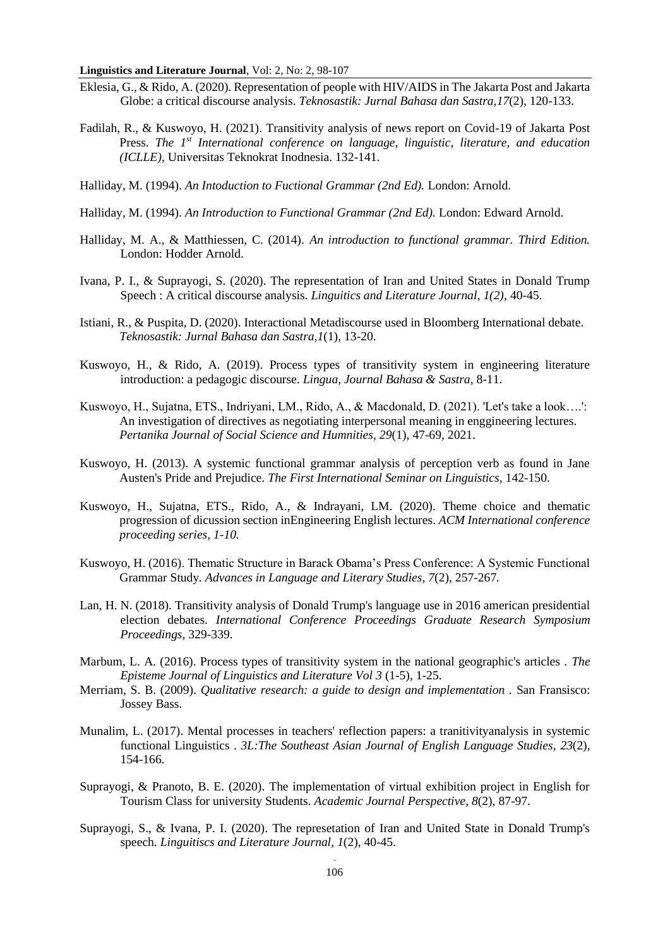- Eklesia, G., & Rido, A. (2020). Representation of people with HIV/AIDS in The Jakarta Post and Jakarta Globe: a critical discourse analysis. *Teknosastik: Jurnal Bahasa dan Sastra,17*(2), 120-133.
- Fadilah, R., & Kuswoyo, H. (2021). Transitivity analysis of news report on Covid-19 of Jakarta Post Press. *The 1st International conference on language, linguistic, literature, and education (ICLLE)*, Universitas Teknokrat Inodnesia. 132-141.
- Halliday, M. (1994). *An Intoduction to Fuctional Grammar (2nd Ed).* London: Arnold.
- Halliday, M. (1994). *An Introduction to Functional Grammar (2nd Ed).* London: Edward Arnold.
- Halliday, M. A., & Matthiessen, C. (2014). *An introduction to functional grammar. Third Edition.* London: Hodder Arnold.
- Ivana, P. I., & Suprayogi, S. (2020). The representation of Iran and United States in Donald Trump Speech : A critical discourse analysis. *Linguitics and Literature Journal, 1(2)*, 40-45.
- Istiani, R., & Puspita, D. (2020). Interactional Metadiscourse used in Bloomberg International debate. *Teknosastik: Jurnal Bahasa dan Sastra,1*(1), 13-20.
- Kuswoyo, H., & Rido, A. (2019). Process types of transitivity system in engineering literature introduction: a pedagogic discourse. *Lingua, Journal Bahasa & Sastra*, 8-11.
- Kuswoyo, H., Sujatna, ETS., Indriyani, LM., Rido, A., & Macdonald, D. (2021). 'Let's take a look….': An investigation of directives as negotiating interpersonal meaning in enggineering lectures. *Pertanika Journal of Social Science and Humnities, 29*(1), 47-69, 2021.
- Kuswoyo, H. (2013). A systemic functional grammar analysis of perception verb as found in Jane Austen's Pride and Prejudice. *The First International Seminar on Linguistics,* 142-150.
- Kuswoyo, H., Sujatna, ETS., Rido, A., & Indrayani, LM. (2020). Theme choice and thematic progression of dicussion section inEngineering English lectures. *ACM International conference proceeding series, 1-10.*
- Kuswoyo, H. (2016). Thematic Structure in Barack Obama's Press Conference: A Systemic Functional Grammar Study*. Advances in Language and Literary Studies, 7*(2), 257-267*.*
- Lan, H. N. (2018). Transitivity analysis of Donald Trump's language use in 2016 american presidential election debates. *International Conference Proceedings Graduate Research Symposium Proceedings*, 329-339.
- Marbum, L. A. (2016). Process types of transitivity system in the national geographic's articles . *The Episteme Journal of Linguistics and Literature Vol 3* (1-5), 1-25.
- Merriam, S. B. (2009). *Qualitative research: a guide to design and implementation .* San Fransisco: Jossey Bass.
- Munalim, L. (2017). Mental processes in teachers' reflection papers: a tranitivityanalysis in systemic functional Linguistics . *3L:The Southeast Asian Journal of English Language Studies, 23*(2), 154-166.
- Suprayogi, & Pranoto, B. E. (2020). The implementation of virtual exhibition project in English for Tourism Class for university Students. *Academic Journal Perspective, 8*(2), 87-97.
- Suprayogi, S., & Ivana, P. I. (2020). The represetation of Iran and United State in Donald Trump's speech. *Linguitiscs and Literature Journal*, *1*(2), 40-45.